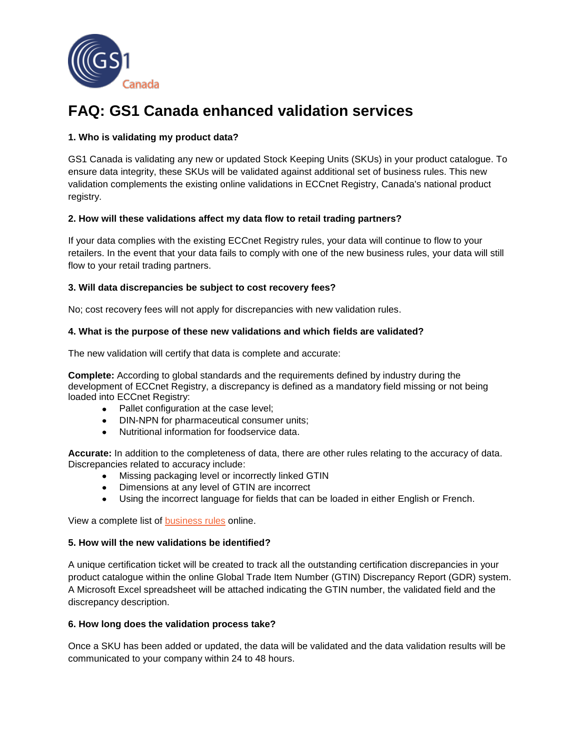

# **FAQ: GS1 Canada enhanced validation services**

## **1. Who is validating my product data?**

GS1 Canada is validating any new or updated Stock Keeping Units (SKUs) in your product catalogue. To ensure data integrity, these SKUs will be validated against additional set of business rules. This new validation complements the existing online validations in ECCnet Registry, Canada's national product registry.

## **2. How will these validations affect my data flow to retail trading partners?**

If your data complies with the existing ECCnet Registry rules, your data will continue to flow to your retailers. In the event that your data fails to comply with one of the new business rules, your data will still flow to your retail trading partners.

## **3. Will data discrepancies be subject to cost recovery fees?**

No; cost recovery fees will not apply for discrepancies with new validation rules.

## **4. What is the purpose of these new validations and which fields are validated?**

The new validation will certify that data is complete and accurate:

**Complete:** According to global standards and the requirements defined by industry during the development of ECCnet Registry, a discrepancy is defined as a mandatory field missing or not being loaded into ECCnet Registry:

- Pallet configuration at the case level;
- DIN-NPN for pharmaceutical consumer units;
- Nutritional information for foodservice data.

**Accurate:** In addition to the completeness of data, there are other rules relating to the accuracy of data. Discrepancies related to accuracy include:

- Missing packaging level or incorrectly linked GTIN
- Dimensions at any level of GTIN are incorrect
- Using the incorrect language for fields that can be loaded in either English or French.

View a complete list of [business rules](https://gs1ca.org/gs1ca-components/documents/GS1_Canada_Enhanced_validation_rules.pdf) online.

## **5. How will the new validations be identified?**

A unique certification ticket will be created to track all the outstanding certification discrepancies in your product catalogue within the online Global Trade Item Number (GTIN) Discrepancy Report (GDR) system. A Microsoft Excel spreadsheet will be attached indicating the GTIN number, the validated field and the discrepancy description.

## **6. How long does the validation process take?**

Once a SKU has been added or updated, the data will be validated and the data validation results will be communicated to your company within 24 to 48 hours.